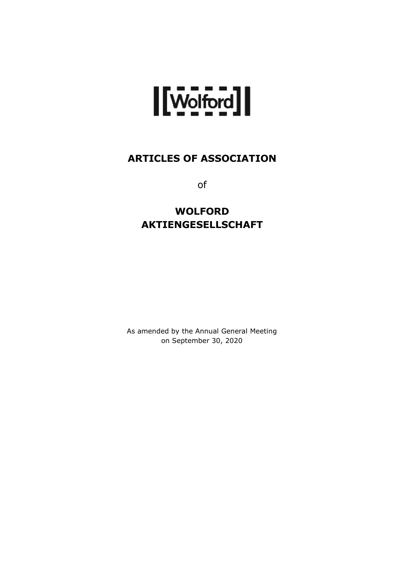

# **ARTICLES OF ASSOCIATION**

of

# **WOLFORD AKTIENGESELLSCHAFT**

As amended by the Annual General Meeting on September 30, 2020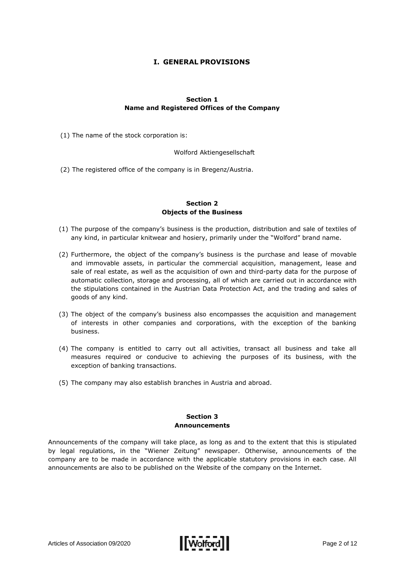# **I. GENERAL PROVISIONS**

# **Section 1 Name and Registered Offices of the Company**

(1) The name of the stock corporation is:

Wolford Aktiengesellschaft

(2) The registered office of the company is in Bregenz/Austria.

# **Section 2 Objects of the Business**

- (1) The purpose of the company's business is the production, distribution and sale of textiles of any kind, in particular knitwear and hosiery, primarily under the "Wolford" brand name.
- (2) Furthermore, the object of the company's business is the purchase and lease of movable and immovable assets, in particular the commercial acquisition, management, lease and sale of real estate, as well as the acquisition of own and third-party data for the purpose of automatic collection, storage and processing, all of which are carried out in accordance with the stipulations contained in the Austrian Data Protection Act, and the trading and sales of goods of any kind.
- (3) The object of the company's business also encompasses the acquisition and management of interests in other companies and corporations, with the exception of the banking business.
- (4) The company is entitled to carry out all activities, transact all business and take all measures required or conducive to achieving the purposes of its business, with the exception of banking transactions.
- (5) The company may also establish branches in Austria and abroad.

# **Section 3 Announcements**

Announcements of the company will take place, as long as and to the extent that this is stipulated by legal regulations, in the "Wiener Zeitung" newspaper. Otherwise, announcements of the company are to be made in accordance with the applicable statutory provisions in each case. All announcements are also to be published on the Website of the company on the Internet.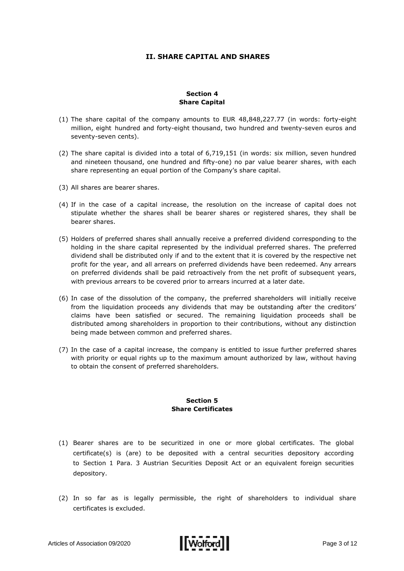# **II. SHARE CAPITAL AND SHARES**

#### **Section 4 Share Capital**

- (1) The share capital of the company amounts to EUR 48,848,227.77 (in words: forty-eight million, eight hundred and forty-eight thousand, two hundred and twenty-seven euros and seventy-seven cents).
- (2) The share capital is divided into a total of 6,719,151 (in words: six million, seven hundred and nineteen thousand, one hundred and fifty-one) no par value bearer shares, with each share representing an equal portion of the Company's share capital.
- (3) All shares are bearer shares.
- (4) If in the case of a capital increase, the resolution on the increase of capital does not stipulate whether the shares shall be bearer shares or registered shares, they shall be bearer shares.
- (5) Holders of preferred shares shall annually receive a preferred dividend corresponding to the holding in the share capital represented by the individual preferred shares. The preferred dividend shall be distributed only if and to the extent that it is covered by the respective net profit for the year, and all arrears on preferred dividends have been redeemed. Any arrears on preferred dividends shall be paid retroactively from the net profit of subsequent years, with previous arrears to be covered prior to arrears incurred at a later date.
- (6) In case of the dissolution of the company, the preferred shareholders will initially receive from the liquidation proceeds any dividends that may be outstanding after the creditors' claims have been satisfied or secured. The remaining liquidation proceeds shall be distributed among shareholders in proportion to their contributions, without any distinction being made between common and preferred shares.
- (7) In the case of a capital increase, the company is entitled to issue further preferred shares with priority or equal rights up to the maximum amount authorized by law, without having to obtain the consent of preferred shareholders.

#### **Section 5 Share Certificates**

- (1) Bearer shares are to be securitized in one or more global certificates. The global certificate(s) is (are) to be deposited with a central securities depository according to Section 1 Para. 3 Austrian Securities Deposit Act or an equivalent foreign securities depository.
- (2) In so far as is legally permissible, the right of shareholders to individual share certificates is excluded.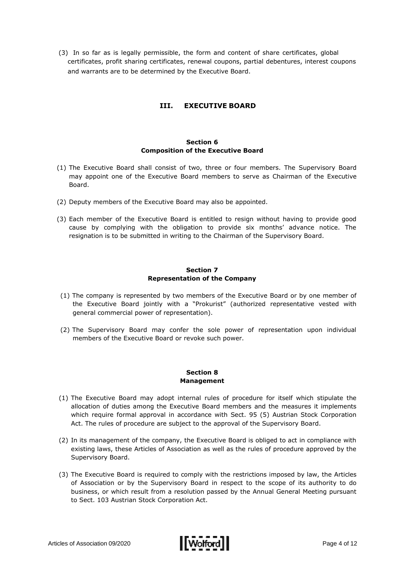(3) In so far as is legally permissible, the form and content of share certificates, global certificates, profit sharing certificates, renewal coupons, partial debentures, interest coupons and warrants are to be determined by the Executive Board.

# **III. EXECUTIVE BOARD**

# **Section 6 Composition of the Executive Board**

- (1) The Executive Board shall consist of two, three or four members. The Supervisory Board may appoint one of the Executive Board members to serve as Chairman of the Executive Board.
- (2) Deputy members of the Executive Board may also be appointed.
- (3) Each member of the Executive Board is entitled to resign without having to provide good cause by complying with the obligation to provide six months' advance notice. The resignation is to be submitted in writing to the Chairman of the Supervisory Board.

#### **Section 7 Representation of the Company**

- (1) The company is represented by two members of the Executive Board or by one member of the Executive Board jointly with a "Prokurist" (authorized representative vested with general commercial power of representation).
- (2) The Supervisory Board may confer the sole power of representation upon individual members of the Executive Board or revoke such power.

#### **Section 8 Management**

- (1) The Executive Board may adopt internal rules of procedure for itself which stipulate the allocation of duties among the Executive Board members and the measures it implements which require formal approval in accordance with Sect. 95 (5) Austrian Stock Corporation Act. The rules of procedure are subject to the approval of the Supervisory Board.
- (2) In its management of the company, the Executive Board is obliged to act in compliance with existing laws, these Articles of Association as well as the rules of procedure approved by the Supervisory Board.
- (3) The Executive Board is required to comply with the restrictions imposed by law, the Articles of Association or by the Supervisory Board in respect to the scope of its authority to do business, or which result from a resolution passed by the Annual General Meeting pursuant to Sect. 103 Austrian Stock Corporation Act.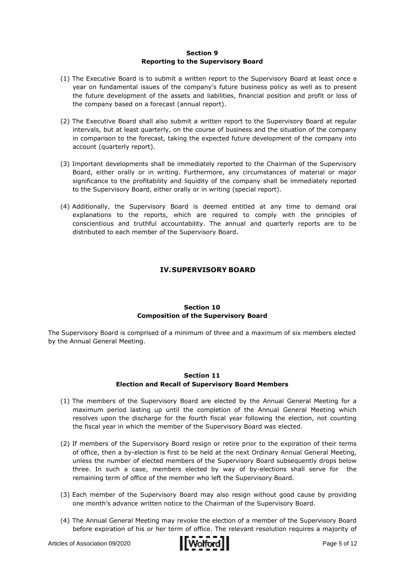#### **Section 9 Reporting to the Supervisory Board**

- (1) The Executive Board is to submit a written report to the Supervisory Board at least once a year on fundamental issues of the company's future business policy as well as to present the future development of the assets and liabilities, financial position and profit or loss of the company based on a forecast (annual report).
- (2) The Executive Board shall also submit a written report to the Supervisory Board at regular intervals, but at least quarterly, on the course of business and the situation of the company in comparison to the forecast, taking the expected future development of the company into account (quarterly report).
- (3) Important developments shall be immediately reported to the Chairman of the Supervisory Board, either orally or in writing. Furthermore, any circumstances of material or major significance to the profitability and liquidity of the company shall be immediately reported to the Supervisory Board, either orally or in writing (special report).
- (4) Additionally, the Supervisory Board is deemed entitled at any time to demand oral explanations to the reports, which are required to comply with the principles of conscientious and truthful accountability. The annual and quarterly reports are to be distributed to each member of the Supervisory Board.

# **IV.SUPERVISORY BOARD**

# **Section 10 Composition of the Supervisory Board**

The Supervisory Board is comprised of a minimum of three and a maximum of six members elected by the Annual General Meeting.

#### **Section 11 Election and Recall of Supervisory Board Members**

- (1) The members of the Supervisory Board are elected by the Annual General Meeting for a maximum period lasting up until the completion of the Annual General Meeting which resolves upon the discharge for the fourth fiscal year following the election, not counting the fiscal year in which the member of the Supervisory Board was elected.
- (2) If members of the Supervisory Board resign or retire prior to the expiration of their terms of office, then a by-election is first to be held at the next Ordinary Annual General Meeting, unless the number of elected members of the Supervisory Board subsequently drops below three. In such a case, members elected by way of by-elections shall serve for the remaining term of office of the member who left the Supervisory Board.
- (3) Each member of the Supervisory Board may also resign without good cause by providing one month's advance written notice to the Chairman of the Supervisory Board.
- (4) The Annual General Meeting may revoke the election of a member of the Supervisory Board before expiration of his or her term of office. The relevant resolution requires a majority of

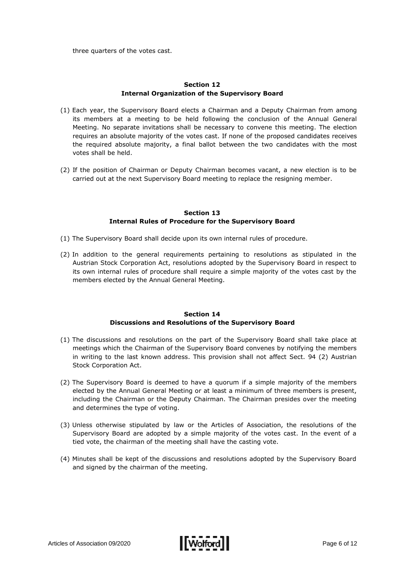three quarters of the votes cast.

# **Section 12 Internal Organization of the Supervisory Board**

- (1) Each year, the Supervisory Board elects a Chairman and a Deputy Chairman from among its members at a meeting to be held following the conclusion of the Annual General Meeting. No separate invitations shall be necessary to convene this meeting. The election requires an absolute majority of the votes cast. If none of the proposed candidates receives the required absolute majority, a final ballot between the two candidates with the most votes shall be held.
- (2) If the position of Chairman or Deputy Chairman becomes vacant, a new election is to be carried out at the next Supervisory Board meeting to replace the resigning member.

#### **Section 13 Internal Rules of Procedure for the Supervisory Board**

- (1) The Supervisory Board shall decide upon its own internal rules of procedure.
- (2) In addition to the general requirements pertaining to resolutions as stipulated in the Austrian Stock Corporation Act, resolutions adopted by the Supervisory Board in respect to its own internal rules of procedure shall require a simple majority of the votes cast by the members elected by the Annual General Meeting.

#### **Section 14 Discussions and Resolutions of the Supervisory Board**

- (1) The discussions and resolutions on the part of the Supervisory Board shall take place at meetings which the Chairman of the Supervisory Board convenes by notifying the members in writing to the last known address. This provision shall not affect Sect. 94 (2) Austrian Stock Corporation Act.
- (2) The Supervisory Board is deemed to have a quorum if a simple majority of the members elected by the Annual General Meeting or at least a minimum of three members is present, including the Chairman or the Deputy Chairman. The Chairman presides over the meeting and determines the type of voting.
- (3) Unless otherwise stipulated by law or the Articles of Association, the resolutions of the Supervisory Board are adopted by a simple majority of the votes cast. In the event of a tied vote, the chairman of the meeting shall have the casting vote.
- (4) Minutes shall be kept of the discussions and resolutions adopted by the Supervisory Board and signed by the chairman of the meeting.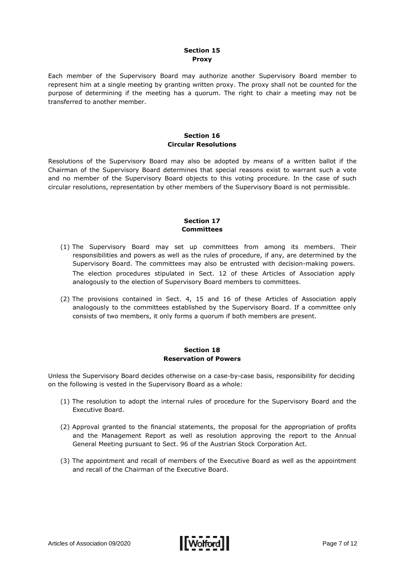#### **Section 15 Proxy**

Each member of the Supervisory Board may authorize another Supervisory Board member to represent him at a single meeting by granting written proxy. The proxy shall not be counted for the purpose of determining if the meeting has a quorum. The right to chair a meeting may not be transferred to another member.

#### **Section 16 Circular Resolutions**

Resolutions of the Supervisory Board may also be adopted by means of a written ballot if the Chairman of the Supervisory Board determines that special reasons exist to warrant such a vote and no member of the Supervisory Board objects to this voting procedure. In the case of such circular resolutions, representation by other members of the Supervisory Board is not permissible.

# **Section 17 Committees**

- (1) The Supervisory Board may set up committees from among its members. Their responsibilities and powers as well as the rules of procedure, if any, are determined by the Supervisory Board. The committees may also be entrusted with decision-making powers. The election procedures stipulated in Sect. 12 of these Articles of Association apply analogously to the election of Supervisory Board members to committees.
- (2) The provisions contained in Sect. 4, 15 and 16 of these Articles of Association apply analogously to the committees established by the Supervisory Board. If a committee only consists of two members, it only forms a quorum if both members are present.

#### **Section 18 Reservation of Powers**

Unless the Supervisory Board decides otherwise on a case-by-case basis, responsibility for deciding on the following is vested in the Supervisory Board as a whole:

- (1) The resolution to adopt the internal rules of procedure for the Supervisory Board and the Executive Board.
- (2) Approval granted to the financial statements, the proposal for the appropriation of profits and the Management Report as well as resolution approving the report to the Annual General Meeting pursuant to Sect. 96 of the Austrian Stock Corporation Act.
- (3) The appointment and recall of members of the Executive Board as well as the appointment and recall of the Chairman of the Executive Board.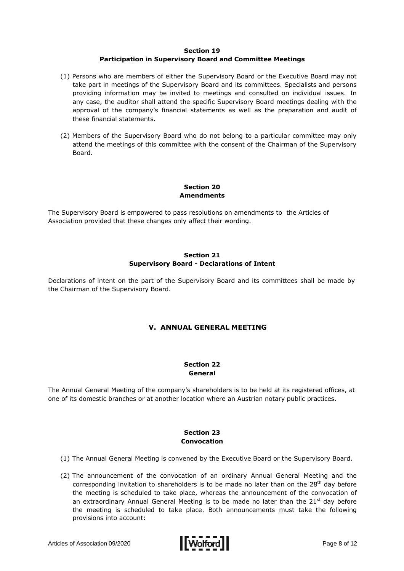#### **Section 19**

# **Participation in Supervisory Board and Committee Meetings**

- (1) Persons who are members of either the Supervisory Board or the Executive Board may not take part in meetings of the Supervisory Board and its committees. Specialists and persons providing information may be invited to meetings and consulted on individual issues. In any case, the auditor shall attend the specific Supervisory Board meetings dealing with the approval of the company's financial statements as well as the preparation and audit of these financial statements.
- (2) Members of the Supervisory Board who do not belong to a particular committee may only attend the meetings of this committee with the consent of the Chairman of the Supervisory Board.

# **Section 20 Amendments**

The Supervisory Board is empowered to pass resolutions on amendments to the Articles of Association provided that these changes only affect their wording.

# **Section 21 Supervisory Board - Declarations of Intent**

Declarations of intent on the part of the Supervisory Board and its committees shall be made by the Chairman of the Supervisory Board.

# **V. ANNUAL GENERAL MEETING**

#### **Section 22 General**

The Annual General Meeting of the company's shareholders is to be held at its registered offices, at one of its domestic branches or at another location where an Austrian notary public practices.

# **Section 23 Convocation**

- (1) The Annual General Meeting is convened by the Executive Board or the Supervisory Board.
- (2) The announcement of the convocation of an ordinary Annual General Meeting and the corresponding invitation to shareholders is to be made no later than on the 28<sup>th</sup> day before the meeting is scheduled to take place, whereas the announcement of the convocation of an extraordinary Annual General Meeting is to be made no later than the  $21<sup>st</sup>$  day before the meeting is scheduled to take place. Both announcements must take the following provisions into account:

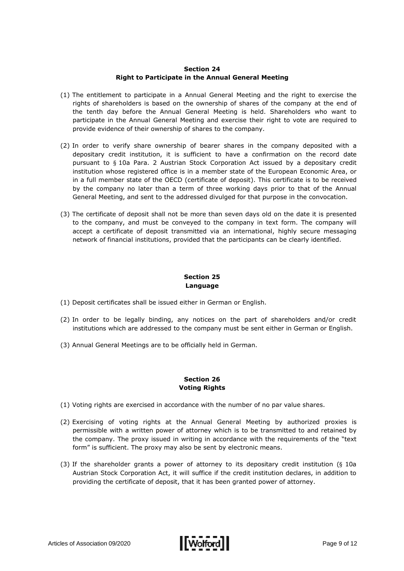#### **Section 24 Right to Participate in the Annual General Meeting**

- (1) The entitlement to participate in a Annual General Meeting and the right to exercise the rights of shareholders is based on the ownership of shares of the company at the end of the tenth day before the Annual General Meeting is held. Shareholders who want to participate in the Annual General Meeting and exercise their right to vote are required to provide evidence of their ownership of shares to the company.
- (2) In order to verify share ownership of bearer shares in the company deposited with a depositary credit institution, it is sufficient to have a confirmation on the record date pursuant to § 10a Para. 2 Austrian Stock Corporation Act issued by a depositary credit institution whose registered office is in a member state of the European Economic Area, or in a full member state of the OECD (certificate of deposit). This certificate is to be received by the company no later than a term of three working days prior to that of the Annual General Meeting, and sent to the addressed divulged for that purpose in the convocation.
- (3) The certificate of deposit shall not be more than seven days old on the date it is presented to the company, and must be conveyed to the company in text form. The company will accept a certificate of deposit transmitted via an international, highly secure messaging network of financial institutions, provided that the participants can be clearly identified.

# **Section 25 Language**

- (1) Deposit certificates shall be issued either in German or English.
- (2) In order to be legally binding, any notices on the part of shareholders and/or credit institutions which are addressed to the company must be sent either in German or English.
- (3) Annual General Meetings are to be officially held in German.

#### **Section 26 Voting Rights**

- (1) Voting rights are exercised in accordance with the number of no par value shares.
- (2) Exercising of voting rights at the Annual General Meeting by authorized proxies is permissible with a written power of attorney which is to be transmitted to and retained by the company. The proxy issued in writing in accordance with the requirements of the "text form" is sufficient. The proxy may also be sent by electronic means.
- (3) If the shareholder grants a power of attorney to its depositary credit institution (§ 10a Austrian Stock Corporation Act, it will suffice if the credit institution declares, in addition to providing the certificate of deposit, that it has been granted power of attorney.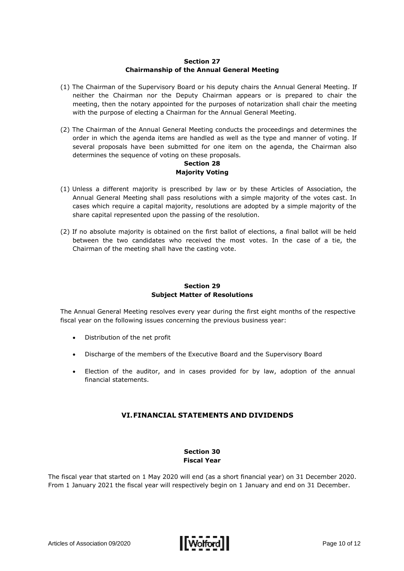# **Section 27 Chairmanship of the Annual General Meeting**

- (1) The Chairman of the Supervisory Board or his deputy chairs the Annual General Meeting. If neither the Chairman nor the Deputy Chairman appears or is prepared to chair the meeting, then the notary appointed for the purposes of notarization shall chair the meeting with the purpose of electing a Chairman for the Annual General Meeting.
- (2) The Chairman of the Annual General Meeting conducts the proceedings and determines the order in which the agenda items are handled as well as the type and manner of voting. If several proposals have been submitted for one item on the agenda, the Chairman also determines the sequence of voting on these proposals.

#### **Section 28 Majority Voting**

- (1) Unless a different majority is prescribed by law or by these Articles of Association, the Annual General Meeting shall pass resolutions with a simple majority of the votes cast. In cases which require a capital majority, resolutions are adopted by a simple majority of the share capital represented upon the passing of the resolution.
- (2) If no absolute majority is obtained on the first ballot of elections, a final ballot will be held between the two candidates who received the most votes. In the case of a tie, the Chairman of the meeting shall have the casting vote.

# **Section 29 Subject Matter of Resolutions**

The Annual General Meeting resolves every year during the first eight months of the respective fiscal year on the following issues concerning the previous business year:

- Distribution of the net profit
- Discharge of the members of the Executive Board and the Supervisory Board
- Election of the auditor, and in cases provided for by law, adoption of the annual financial statements.

# **VI.FINANCIAL STATEMENTS AND DIVIDENDS**

#### **Section 30 Fiscal Year**

The fiscal year that started on 1 May 2020 will end (as a short financial year) on 31 December 2020. From 1 January 2021 the fiscal year will respectively begin on 1 January and end on 31 December.